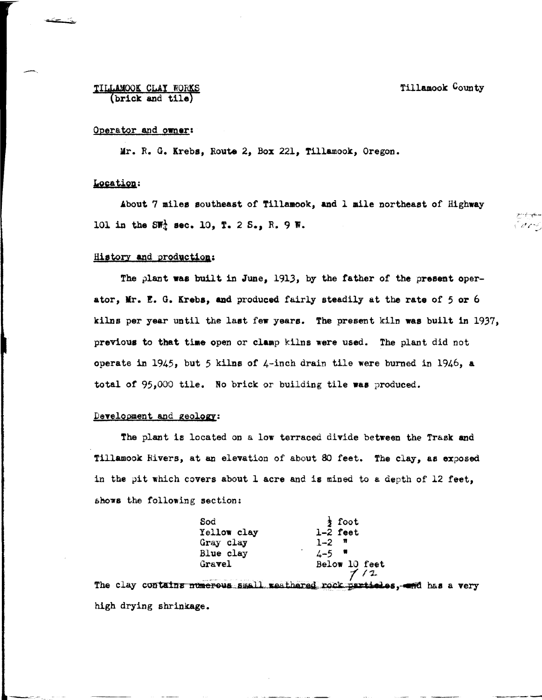## TILLAMOOK CLAY WORKS (brick and tile)

Tillamook County

# Operator and **owner:**

Mr. R. G. Krebs, Route 2, Box 221, Tillamook, Oregon.

## Location:

.-----

About 7 miles southeast of Tillamook, and l mile northeast of Highway <sup>101</sup>in the **SI¼ aec.** 10, **f.** 2 s., R. <sup>9</sup>W.

#### History and production:

The plant was built in June, 1913, by the father of the present operator, Mr. E. G. Krebs, and produced fairly steadily at the rate of 5 or 6 kilns per year until the last few years. The present kiln was built in 1937, previous to that **tiae** open or clamp kilns were used. The plant did not operate in 1945, but 5 kilns of 4-inch drain tile were burned in 1946, **a**  total or 95,000 tile. No brick or building tile **waa** produced.

## Development and geology:

The plant is located on a low terraced divide between the Trask and Tillamook Rivers, at an elevation of about 80 feet. The clay, as exposed in the pit which covers about 1 acre and is mined to a depth of 12 feet, &hows the following section:

| Sod                    | $\frac{1}{2}$ foot                                                        |
|------------------------|---------------------------------------------------------------------------|
| Yellow clay            | $1-2$ feet                                                                |
| Gray clay              | $1 - 2$ $\pi$                                                             |
| Blue clay              | $4 - 5$ $\blacksquare$                                                    |
| Gravel                 | Below 10 feet<br>7/2                                                      |
|                        | The clay contains numerous small meathered rock particles, and has a very |
| high drying shrinkage. |                                                                           |